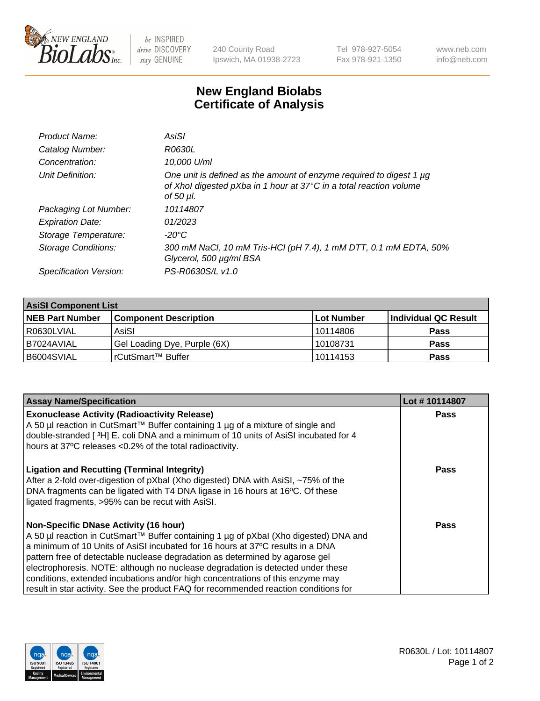

 $be$  INSPIRED drive DISCOVERY stay GENUINE

240 County Road Ipswich, MA 01938-2723 Tel 978-927-5054 Fax 978-921-1350 www.neb.com info@neb.com

## **New England Biolabs Certificate of Analysis**

| Product Name:              | AsiSI                                                                                                                                                  |
|----------------------------|--------------------------------------------------------------------------------------------------------------------------------------------------------|
| Catalog Number:            | R0630L                                                                                                                                                 |
| Concentration:             | 10,000 U/ml                                                                                                                                            |
| Unit Definition:           | One unit is defined as the amount of enzyme required to digest 1 µg<br>of Xhol digested pXba in 1 hour at 37°C in a total reaction volume<br>of 50 µl. |
| Packaging Lot Number:      | 10114807                                                                                                                                               |
| <b>Expiration Date:</b>    | 01/2023                                                                                                                                                |
| Storage Temperature:       | -20°C                                                                                                                                                  |
| <b>Storage Conditions:</b> | 300 mM NaCl, 10 mM Tris-HCl (pH 7.4), 1 mM DTT, 0.1 mM EDTA, 50%<br>Glycerol, 500 µg/ml BSA                                                            |
| Specification Version:     | PS-R0630S/L v1.0                                                                                                                                       |

| <b>AsiSI Component List</b> |                              |            |                      |  |  |
|-----------------------------|------------------------------|------------|----------------------|--|--|
| <b>NEB Part Number</b>      | <b>Component Description</b> | Lot Number | Individual QC Result |  |  |
| R0630LVIAL                  | AsiSI                        | l 10114806 | <b>Pass</b>          |  |  |
| I B7024AVIAL                | Gel Loading Dye, Purple (6X) | 10108731   | <b>Pass</b>          |  |  |
| B6004SVIAL                  | l rCutSmart™ Buffer_         | 10114153   | <b>Pass</b>          |  |  |

| <b>Assay Name/Specification</b>                                                                                                                                                                                                                                                                                                                                                                                                                                                                                                                                     | Lot #10114807 |
|---------------------------------------------------------------------------------------------------------------------------------------------------------------------------------------------------------------------------------------------------------------------------------------------------------------------------------------------------------------------------------------------------------------------------------------------------------------------------------------------------------------------------------------------------------------------|---------------|
| <b>Exonuclease Activity (Radioactivity Release)</b><br>A 50 µl reaction in CutSmart™ Buffer containing 1 µg of a mixture of single and<br>double-stranded [3H] E. coli DNA and a minimum of 10 units of AsiSI incubated for 4<br>hours at 37°C releases <0.2% of the total radioactivity.                                                                                                                                                                                                                                                                           | <b>Pass</b>   |
| <b>Ligation and Recutting (Terminal Integrity)</b><br>After a 2-fold over-digestion of pXbal (Xho digested) DNA with AsiSI, ~75% of the<br>DNA fragments can be ligated with T4 DNA ligase in 16 hours at 16°C. Of these<br>ligated fragments, >95% can be recut with AsiSI.                                                                                                                                                                                                                                                                                        | Pass          |
| <b>Non-Specific DNase Activity (16 hour)</b><br>A 50 µl reaction in CutSmart™ Buffer containing 1 µg of pXbal (Xho digested) DNA and<br>a minimum of 10 Units of AsiSI incubated for 16 hours at 37°C results in a DNA<br>pattern free of detectable nuclease degradation as determined by agarose gel<br>electrophoresis. NOTE: although no nuclease degradation is detected under these<br>conditions, extended incubations and/or high concentrations of this enzyme may<br>result in star activity. See the product FAQ for recommended reaction conditions for | Pass          |